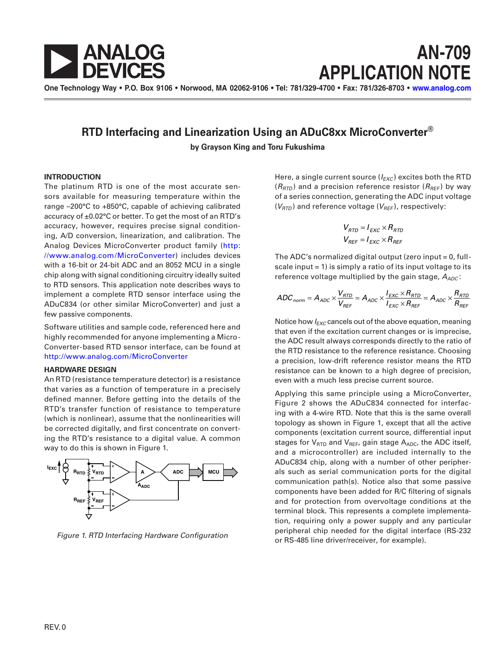

**AN-709 APPLICATION NOTE**

**One Technology Way • P.O. Box 9106 • Norwood, MA 02062-9106 • Tel: 781/329-4700 • Fax: 781/326-8703 • [www.analog.com](http://www.analog.com)**

# **RTD Interfacing and Linearization Using an ADuC8xx MicroConverter®**

**by Grayson King and Toru Fukushima**

### **INTRODUCTION**

The platinum RTD is one of the most accurate sensors available for measuring temperature within the range –200°C to +850°C, capable of achieving calibrated accuracy of ±0.02°C or better. To get the most of an RTD's accuracy, however, requires precise signal conditioning, A/D conversion, linearization, and calibration. The Analog Devices MicroConverter product family ([http:](http://www.analog.com/MicroConverter) [//www.analog.com/MicroConverter](http://www.analog.com/MicroConverter)) includes devices with a 16-bit or 24-bit ADC and an 8052 MCU in a single chip along with signal conditioning circuitry ideally suited to RTD sensors. This application note describes ways to implement a complete RTD sensor interface using the ADuC834 (or other similar MicroConverter) and just a few passive components.

Software utilities and sample code, referenced here and highly recommended for anyone implementing a Micro-Converter-based RTD sensor interface, can be found at <http://www.analog.com/MicroConverter>

### **HARDWARE DESIGN**

An RTD (resistance temperature detector) is a resistance that varies as a function of temperature in a precisely defined manner. Before getting into the details of the RTD's transfer function of resistance to temperature (which is nonlinear), assume that the nonlinearities will be corrected digitally, and first concentrate on converting the RTD's resistance to a digital value. A common way to do this is shown in Figure 1.



Figure 1. RTD Interfacing Hardware Configuration

Here, a single current source ( $I_{EXC}$ ) excites both the RTD  $(R_{\text{RTD}})$  and a precision reference resistor  $(R_{\text{REF}})$  by way of a series connection, generating the ADC input voltage  $(V<sub>RTD</sub>)$  and reference voltage ( $V<sub>REF</sub>$ ), respectively:

$$
V_{RTD} = I_{EXC} \times R_{RTD}
$$
  

$$
V_{REF} = I_{EXC} \times R_{REF}
$$

The ADC's normalized digital output (zero input  $= 0$ , fullscale input  $= 1$ ) is simply a ratio of its input voltage to its reference voltage multiplied by the gain stage,  $A_{ADC}$ :

$$
ADC_{norm} = A_{ADC} \times \frac{V_{RTD}}{V_{REF}} = A_{ADC} \times \frac{I_{EXC} \times R_{RTD}}{I_{EXC} \times R_{REF}} = A_{ADC} \times \frac{R_{RTD}}{R_{REF}}
$$

Notice how  $I_{EXC}$  cancels out of the above equation, meaning that even if the excitation current changes or is imprecise, the ADC result always corresponds directly to the ratio of the RTD resistance to the reference resistance. Choosing a precision, low-drift reference resistor means the RTD resistance can be known to a high degree of precision, even with a much less precise current source.

Applying this same principle using a MicroConverter, Figure 2 shows the ADuC834 connected for interfacing with a 4-wire RTD. Note that this is the same overall topology as shown in Figure 1, except that all the active components (excitation current source, differential input stages for  $V_{\text{RTD}}$  and  $V_{\text{REF}}$ , gain stage  $A_{\text{ADC}}$ , the ADC itself, and a microcontroller) are included internally to the ADuC834 chip, along with a number of other peripherals such as serial communication ports for the digital communication path(s). Notice also that some passive components have been added for R/C filtering of signals and for protection from overvoltage conditions at the terminal block. This represents a complete implementation, requiring only a power supply and any particular peripheral chip needed for the digital interface (RS-232 or RS-485 line driver/receiver, for example).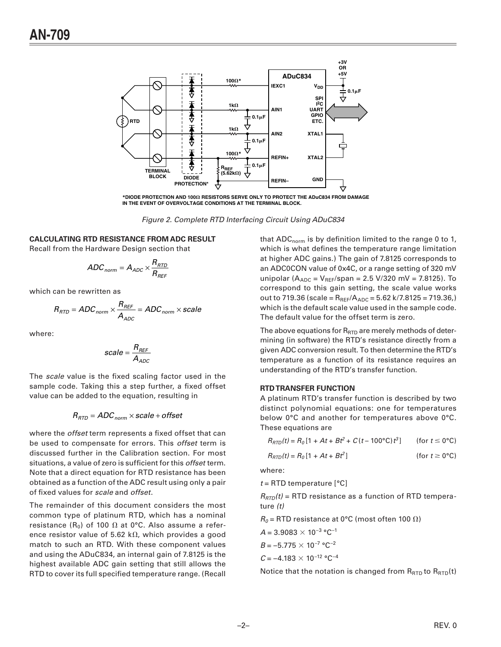

\*DIODE PROTECTION AND 1000 RESISTORS SERVE ONLY TO PROTECT THE ADuC834 FROM DAMAGE IN THE EVENT OF OVERVOLTAGE CONDITIONS AT THE TERMINAL BLOCK.

Figure 2. Complete RTD Interfacing Circuit Using ADuC834

## **CALCULATING RTD RESISTANCE FROM ADC RESULT**

Recall from the Hardware Design section that

$$
ADC_{norm} = A_{ADC} \times \frac{R_{RTD}}{R_{REF}}
$$

which can be rewritten as

$$
R_{RTD} = ADC_{norm} \times \frac{R_{REF}}{A_{ADC}} = ADC_{norm} \times scale
$$

where:

$$
scale = \frac{R_{REF}}{A_{ADC}}
$$

The scale value is the fixed scaling factor used in the sample code. Taking this a step further, a fixed offset value can be added to the equation, resulting in

$$
R_{\rm{RTD}} = ADC_{\rm{norm}} \times scale + offset
$$

where the *offset* term represents a fixed offset that can be used to compensate for errors. This offset term is discussed further in the Calibration section. For most situations, a value of zero is sufficient for this offset term. Note that a direct equation for RTD resistance has been obtained as a function of the ADC result using only a pair of fixed values for scale and offset.

The remainder of this document considers the most common type of platinum RTD, which has a nominal resistance (R<sub>0</sub>) of 100  $\Omega$  at 0°C. Also assume a reference resistor value of 5.62 k $\Omega$ , which provides a good match to such an RTD. With these component values and using the ADuC834, an internal gain of 7.8125 is the highest available ADC gain setting that still allows the RTD to cover its full specified temperature range. (Recall

that  $ADC_{norm}$  is by definition limited to the range 0 to 1, which is what defines the temperature range limitation at higher ADC gains.) The gain of 7.8125 corresponds to an ADC0CON value of 0x4C, or a range setting of 320 mV unipolar ( $A_{ADC} = V_{REF}/span = 2.5 V/320 mV = 7.8125$ ). To correspond to this gain setting, the scale value works out to 719.36 (scale =  $R_{REF}/A_{ADC}$  = 5.62 k/7.8125 = 719.36,) which is the default scale value used in the sample code. The default value for the offset term is zero.

The above equations for  $R_{\text{RTD}}$  are merely methods of determining (in software) the RTD's resistance directly from a given ADC conversion result. To then determine the RTD's temperature as a function of its resistance requires an understanding of the RTD's transfer function.

### **RTD TRANSFER FUNCTION**

A platinum RTD's transfer function is described by two distinct polynomial equations: one for temperatures below 0°C and another for temperatures above 0°C. These equations are

|  | $R_{RTD}(t) = R_0[1 + At + Bt^2 + C(t - 100^{\circ}C)t^3]$ | (for $t \leq 0$ °C) |
|--|------------------------------------------------------------|---------------------|
|  |                                                            |                     |

| $R_{RTD}(t) = R_0[1 + At + Bt^2]$ | (for $t \geq 0$ °C) |
|-----------------------------------|---------------------|
|-----------------------------------|---------------------|

where:

 $t =$ RTD temperature [°C]

 $R_{\text{RTD}}(t)$  = RTD resistance as a function of RTD temperature  $(t)$ 

$$
R_0
$$
 = RTD resistance at 0°C (most often 100  $\Omega$ )

$$
A = 3.9083 \times 10^{-3} °C^{-1}
$$
  
\n
$$
B = -5.775 \times 10^{-7} °C^{-2}
$$
  
\n
$$
C = -4.183 \times 10^{-12} °C^{-4}
$$

Notice that the notation is changed from RRTD to RRTD(t)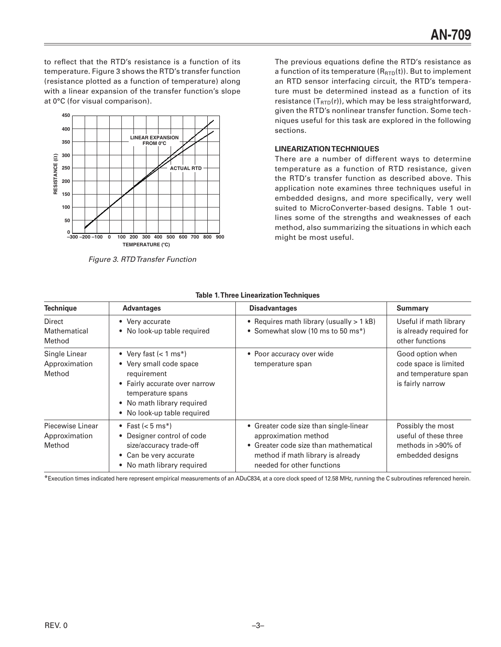to reflect that the RTD's resistance is a function of its temperature. Figure 3 shows the RTD's transfer function (resistance plotted as a function of temperature) along with a linear expansion of the transfer function's slope at 0°C (for visual comparison).



Figure 3. RTD Transfer Function

The previous equations define the RTD's resistance as a function of its temperature (R<sub>RTD</sub>(t)). But to implement an RTD sensor interfacing circuit, the RTD's temperature must be determined instead as a function of its resistance  $(T_{\text{RTD}}(r))$ , which may be less straightforward, given the RTD's nonlinear transfer function. Some techniques useful for this task are explored in the following sections.

# **LINEARIZATION TECHNIQUES**

There are a number of different ways to determine temperature as a function of RTD resistance, given the RTD's transfer function as described above. This application note examines three techniques useful in embedded designs, and more specifically, very well suited to MicroConverter-based designs. Table 1 outlines some of the strengths and weaknesses of each method, also summarizing the situations in which each might be most useful.

| <b>Technique</b>                            | <b>Advantages</b>                                                                                                                                                                            | <b>Disadvantages</b>                                                                                                                                                       | <b>Summary</b>                                                                        |
|---------------------------------------------|----------------------------------------------------------------------------------------------------------------------------------------------------------------------------------------------|----------------------------------------------------------------------------------------------------------------------------------------------------------------------------|---------------------------------------------------------------------------------------|
| Direct<br>Mathematical<br>Method            | • Very accurate<br>• No look-up table required                                                                                                                                               | • Requires math library (usually > 1 kB)<br>• Somewhat slow (10 ms to 50 ms*)                                                                                              | Useful if math library<br>is already required for<br>other functions                  |
| Single Linear<br>Approximation<br>Method    | • Very fast $(< 1 \text{ ms*})$<br>• Very small code space<br>requirement<br>• Fairly accurate over narrow<br>temperature spans<br>• No math library required<br>• No look-up table required | • Poor accuracy over wide<br>temperature span                                                                                                                              | Good option when<br>code space is limited<br>and temperature span<br>is fairly narrow |
| Piecewise Linear<br>Approximation<br>Method | • Fast $(< 5 \text{ ms*})$<br>• Designer control of code<br>size/accuracy trade-off<br>• Can be very accurate<br>• No math library required                                                  | • Greater code size than single-linear<br>approximation method<br>• Greater code size than mathematical<br>method if math library is already<br>needed for other functions | Possibly the most<br>useful of these three<br>methods in >90% of<br>embedded designs  |

### **Table 1. Three Linearization Techniques**

\*Execution times indicated here represent empirical measurements of an ADuC834, at a core clock speed of 12.58 MHz, running the C subroutines referenced herein.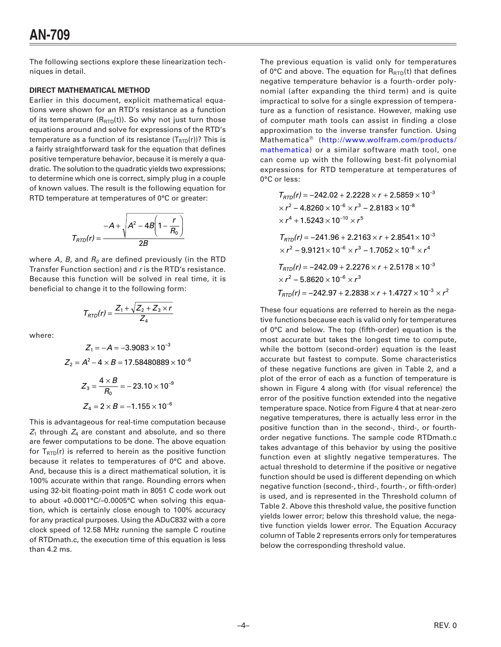The following sections explore these linearization techniques in detail.

## **DIRECT MATHEMATICAL METHOD**

Earlier in this document, explicit mathematical equations were shown for an RTD's resistance as a function of its temperature  $(R_{\text{RTD}}(t))$ . So why not just turn those equations around and solve for expressions of the RTD's temperature as a function of its resistance  $(T_{\text{RTD}}(r))$ ? This is a fairly straightforward task for the equation that defines positive temperature behavior, because it is merely a quadratic. The solution to the quadratic yields two expressions; to determine which one is correct, simply plug in a couple of known values. The result is the following equation for RTD temperature at temperatures of 0°C or greater:

$$
T_{RTD}(r) = \frac{-A + \sqrt{A^2 - 4B\left(1 - \frac{r}{R_0}\right)}}{2B}
$$

where  $A$ ,  $B$ , and  $R_0$  are defined previously (in the RTD Transfer Function section) and r is the RTD's resistance. Because this function will be solved in real time, it is beneficial to change it to the following form:

$$
T_{RTD}(r) = \frac{Z_1 + \sqrt{Z_2 + Z_3 \times r}}{Z_4}
$$

where:

$$
Z_1 = -A = -3.9083 \times 10^{-3}
$$
\n
$$
Z_2 = A^2 - 4 \times B = 17.58480889 \times 10^{-6}
$$
\n
$$
Z_3 = \frac{4 \times B}{R_0} = -23.10 \times 10^{-9}
$$
\n
$$
Z_4 = 2 \times B = -1.155 \times 10^{-6}
$$

This is advantageous for real-time computation because  $Z_1$  through  $Z_4$  are constant and absolute, and so there are fewer computations to be done. The above equation for  $T_{\text{RTD}}(r)$  is referred to herein as the positive function because it relates to temperatures of 0°C and above. And, because this is a direct mathematical solution, it is 100% accurate within that range. Rounding errors when using 32-bit floating-point math in 8051 C code work out to about +0.0001°C/-0.0005°C when solving this equation, which is certainly close enough to 100% accuracy for any practical purposes. Using the ADuC832 with a core clock speed of 12.58 MHz running the sample C routine of RTDmath.c, the execution time of this equation is less than 4.2 ms.

The previous equation is valid only for temperatures of 0°C and above. The equation for  $R_{\text{RTD}}(t)$  that defines negative temperature behavior is a fourth-order polynomial (after expanding the third term) and is quite impractical to solve for a single expression of temperature as a function of resistance. However, making use of computer math tools can assist in finding a close approximation to the inverse transfer function. Using Mathematica<sup>®</sup> (http://www.wolfram.com/products/ mathematica) or a similar software math tool, one can come up with the following best-fit polynomial expressions for RTD temperature at temperatures of 0°C or less:

$$
T_{RTD}(r) = -242.02 + 2.2228 \times r + 2.5859 \times 10^{-3}
$$
\n
$$
\times r^2 - 4.8260 \times 10^{-6} \times r^3 - 2.8183 \times 10^{-8}
$$
\n
$$
\times r^4 + 1.5243 \times 10^{-10} \times r^5
$$
\n
$$
T_{RTD}(r) = -241.96 + 2.2163 \times r + 2.8541 \times 10^{-3}
$$
\n
$$
\times r^2 - 9.9121 \times 10^{-6} \times r^3 - 1.7052 \times 10^{-8} \times r^4
$$
\n
$$
T_{RTD}(r) = -242.09 + 2.2276 \times r + 2.5178 \times 10^{-3}
$$
\n
$$
\times r^2 - 5.8620 \times 10^{-6} \times r^3
$$
\n
$$
T_{RTD}(r) = -242.97 + 2.2838 \times r + 1.4727 \times 10^{-3} \times r^2
$$

These four equations are referred to herein as the negative functions because each is valid only for temperatures of 0°C and below. The top (fifth-order) equation is the most accurate but takes the longest time to compute, while the bottom (second-order) equation is the least accurate but fastest to compute. Some characteristics of these negative functions are given in Table 2, and a plot of the error of each as a function of temperature is shown in Figure 4 along with (for visual reference) the error of the positive function extended into the negative temperature space. Notice from Figure 4 that at near-zero negative temperatures, there is actually less error in the positive function than in the second-, third-, or fourthorder negative functions. The sample code RTDmath.c takes advantage of this behavior by using the positive function even at slightly negative temperatures. The actual threshold to determine if the positive or negative function should be used is different depending on which negative function (second-, third-, fourth-, or fifth-order) is used, and is represented in the Threshold column of Table 2. Above this threshold value, the positive function yields lower error; below this threshold value, the negative function yields lower error. The Equation Accuracy column of Table 2 represents errors only for temperatures below the corresponding threshold value.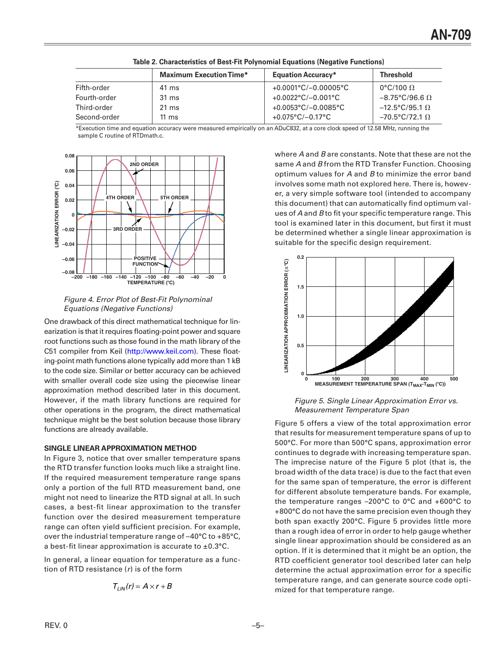|              | <b>Maximum Execution Time*</b> | <b>Equation Accuracy*</b>            | <b>Threshold</b>                |
|--------------|--------------------------------|--------------------------------------|---------------------------------|
| Fifth-order  | 41 ms                          | $+0.0001^{\circ}C/-0.00005^{\circ}C$ | 0°C/100 $\Omega$                |
| Fourth-order | 31 ms                          | $+0.0022$ °C/-0.001°C                | $-8.75^{\circ}$ C/96.6 $\Omega$ |
| Third-order  | $21 \text{ ms}$                | $+0.0053^{\circ}$ C/-0.0085°C        | $-12.5^{\circ}$ C/95.1 $\Omega$ |
| Second-order | 11 ms                          | $+0.075^{\circ}$ C/-0.17°C           | $-70.5$ °C/72.1 $\Omega$        |

Table 2. Characteristics of Best-Fit Polynomial Equations (Negative Functions)

\*Execution time and equation accuracy were measured empirically on an ADuC832, at a core clock speed of 12.58 MHz, running the sample C routine of RTDmath.c.



Figure 4. Error Plot of Best-Fit Polynominal **Equations (Negative Functions)** 

One drawback of this direct mathematical technique for linearization is that it requires floating-point power and square root functions such as those found in the math library of the C51 compiler from Keil (http://www.keil.com). These floating-point math functions alone typically add more than 1 kB to the code size. Similar or better accuracy can be achieved with smaller overall code size using the piecewise linear approximation method described later in this document. However, if the math library functions are required for other operations in the program, the direct mathematical technique might be the best solution because those library functions are already available.

# **SINGLE LINEAR APPROXIMATION METHOD**

In Figure 3, notice that over smaller temperature spans the RTD transfer function looks much like a straight line. If the required measurement temperature range spans only a portion of the full RTD measurement band, one might not need to linearize the RTD signal at all. In such cases, a best-fit linear approximation to the transfer function over the desired measurement temperature range can often yield sufficient precision. For example, over the industrial temperature range of  $-40^{\circ}$ C to  $+85^{\circ}$ C, a best-fit linear approximation is accurate to  $\pm 0.3$ °C.

In general, a linear equation for temperature as a function of RTD resistance  $(r)$  is of the form

$$
T_{LIN}(r) = A \times r + B
$$

where A and B are constants. Note that these are not the same A and B from the RTD Transfer Function. Choosing optimum values for  $A$  and  $B$  to minimize the error band involves some math not explored here. There is, however, a very simple software tool (intended to accompany this document) that can automatically find optimum values of A and B to fit your specific temperature range. This tool is examined later in this document, but first it must be determined whether a single linear approximation is suitable for the specific design requirement.



Figure 5. Single Linear Approximation Error vs. **Measurement Temperature Span** 

Figure 5 offers a view of the total approximation error that results for measurement temperature spans of up to 500°C. For more than 500°C spans, approximation error continues to degrade with increasing temperature span. The imprecise nature of the Figure 5 plot (that is, the broad width of the data trace) is due to the fact that even for the same span of temperature, the error is different for different absolute temperature bands. For example, the temperature ranges  $-200^{\circ}$ C to 0°C and  $+600^{\circ}$ C to +800°C do not have the same precision even though they both span exactly 200°C. Figure 5 provides little more than a rough idea of error in order to help gauge whether single linear approximation should be considered as an option. If it is determined that it might be an option, the RTD coefficient generator tool described later can help determine the actual approximation error for a specific temperature range, and can generate source code optimized for that temperature range.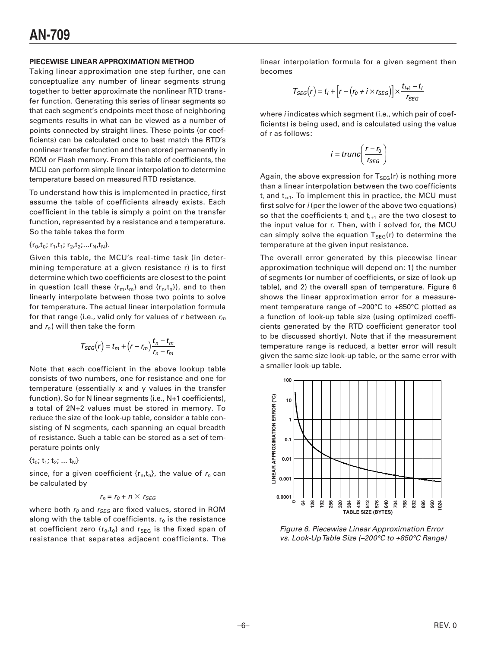#### **PIECEWISE LINEAR APPROXIMATION METHOD**

Taking linear approximation one step further, one can conceptualize any number of linear segments strung together to better approximate the nonlinear RTD transfer function. Generating this series of linear segments so that each segment's endpoints meet those of neighboring segments results in what can be viewed as a number of points connected by straight lines. These points (or coefficients) can be calculated once to best match the RTD's nonlinear transfer function and then stored permanently in ROM or Flash memory. From this table of coefficients, the MCU can perform simple linear interpolation to determine temperature based on measured RTD resistance.

To understand how this is implemented in practice, first assume the table of coefficients already exists. Each coefficient in the table is simply a point on the transfer function, represented by a resistance and a temperature. So the table takes the form

#### ${r_0, t_0; r_1, t_1; r_2, t_2; ... r_N, t_N}.$

Given this table, the MCU's real-time task (in determining temperature at a given resistance r) is to first determine which two coefficients are closest to the point in question (call these  $\{r_m, t_m\}$  and  $\{r_n, t_n\}$ ), and to then linearly interpolate between those two points to solve for temperature. The actual linear interpolation formula for that range (i.e., valid only for values of r between  $r_m$ and  $r_n$ ) will then take the form

$$
T_{SEG}(r) = t_m + (r - r_m) \frac{t_n - t_m}{r_n - r_m}
$$

Note that each coefficient in the above lookup table consists of two numbers, one for resistance and one for temperature (essentially x and y values in the transfer function). So for N linear segments (i.e., N+1 coefficients), a total of 2N+2 values must be stored in memory. To reduce the size of the look-up table, consider a table consisting of N segments, each spanning an equal breadth of resistance. Such a table can be stored as a set of temperature points only

 $\{t_0; t_1; t_2; ... t_N\}$ 

since, for a given coefficient  $\{r_n, t_n\}$ , the value of  $r_n$  can be calculated by

$$
r_n = r_0 + n \times r_{SEG}
$$

where both  $r_0$  and  $r_{SEG}$  are fixed values, stored in ROM along with the table of coefficients.  $r_0$  is the resistance at coefficient zero  $\{r_0, t_0\}$  and  $r_{SEG}$  is the fixed span of resistance that separates adjacent coefficients. The

linear interpolation formula for a given segment then becomes

$$
T_{SEG}(r) = t_i + \left[r - \left(r_0 + i \times r_{SEG}\right)\right] \times \frac{t_{i+1} - t_i}{r_{SEG}}
$$

where *i* indicates which segment (i.e., which pair of coefficients) is being used, and is calculated using the value of r as follows:

$$
i = trunc \left( \frac{r - r_0}{r_{SEG}} \right)
$$

Again, the above expression for  $T_{\text{SEG}}(r)$  is nothing more than a linear interpolation between the two coefficients  $t_i$  and  $t_{i+1}$ . To implement this in practice, the MCU must first solve for i (per the lower of the above two equations) so that the coefficients  $t_i$  and  $t_{i+1}$  are the two closest to the input value for r. Then, with i solved for, the MCU can simply solve the equation  $T_{SEG}(r)$  to determine the temperature at the given input resistance.

The overall error generated by this piecewise linear approximation technique will depend on: 1) the number of segments (or number of coefficients, or size of look-up table), and 2) the overall span of temperature. Figure 6 shows the linear approximation error for a measurement temperature range of –200°C to +850°C plotted as a function of look-up table size (using optimized coefficients generated by the RTD coefficient generator tool to be discussed shortly). Note that if the measurement temperature range is reduced, a better error will result given the same size look-up table, or the same error with a smaller look-up table.



Figure 6. Piecewise Linear Approximation Error vs. Look-Up Table Size (–200°C to +850°C Range)

–6–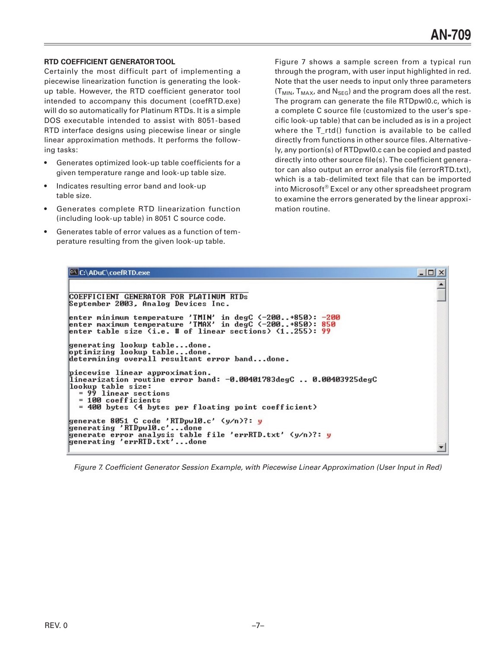## **RTD COEFFICIENT GENERATOR TOOL**

Certainly the most difficult part of implementing a piecewise linearization function is generating the lookup table. However, the RTD coefficient generator tool intended to accompany this document (coefRTD.exe) will do so automatically for Platinum RTDs. It is a simple DOS executable intended to assist with 8051-based RTD interface designs using piecewise linear or single linear approximation methods. It performs the following tasks:

- Generates optimized look-up table coefficients for a given temperature range and look-up table size.
- Indicates resulting error band and look-up table size.
- Generates complete RTD linearization function (including look-up table) in 8051 C source code.
- Generates table of error values as a function of temperature resulting from the given look-up table.

Figure 7 shows a sample screen from a typical run through the program, with user input highlighted in red. Note that the user needs to input only three parameters  $(T_{MIN}, T_{MAX},$  and  $N_{SEG}$ ) and the program does all the rest. The program can generate the file RTDpwl0.c, which is a complete C source file (customized to the user's specific look-up table) that can be included as is in a project where the T\_rtd() function is available to be called directly from functions in other source files. Alternatively, any portion(s) of RTDpwl0.c can be copied and pasted directly into other source file(s). The coefficient generator can also output an error analysis file (errorRTD.txt), which is a tab-delimited text file that can be imported into Microsoft® Excel or any other spreadsheet program to examine the errors generated by the linear approximation routine.

| <b>C:\ADuC\coefRTD.exe</b>                                                                                                                                                            | $ \Box$ $\times$ |
|---------------------------------------------------------------------------------------------------------------------------------------------------------------------------------------|------------------|
|                                                                                                                                                                                       |                  |
| COEFFICIENT GENERATOR FOR PLATINUM RTDs<br>September 2003, Analog Devices Inc.                                                                                                        |                  |
| enter minimum temperature 'TMIN' in degC <-200+850>: -200 <br>enter maximum temperature 'TMAX' in degC (-200+850): 850<br>enter table size $(i.e.$ # of linear sections) $(1255):$ 99 |                  |
| generating lookup tabledone.<br>optimizing lookup tabledone.<br>determining overall resultant error banddone.                                                                         |                  |
| piecewise linear approximation.<br>linearization routine error band: -0.00401783degC  0.00403925degC<br>lookup table size:<br>$= 99$ linear sections<br>$= 100$ coefficients          |                  |
| = 400 bytes (4 bytes per floating point coefficient)                                                                                                                                  |                  |
| generate 8051 C code 'RTDpwl0.c' $(y/n)?: y$                                                                                                                                          |                  |
| generating 'RIDpw10.c'done<br>generate error analysis table file 'errRTD.txt' (y/n)?: y<br>generating 'errRTD.txt'done                                                                |                  |
|                                                                                                                                                                                       |                  |

Figure 7. Coefficient Generator Session Example, with Piecewise Linear Approximation (User Input in Red)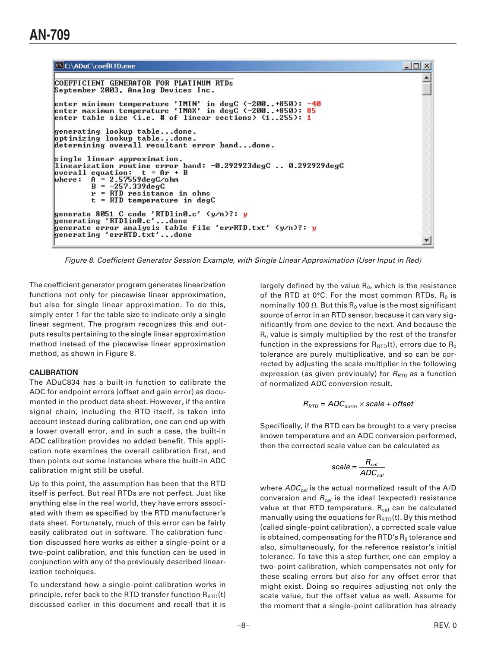```
C:\ADuC\coefRTD.exe
```

```
COEFFICIENT GENERATOR FOR PLATINUM RTDs
September 2003, Analog Devices Inc.
enter minimum temperature 'TMIN' in degC \langle -200...+850 \rangle: -40<br>enter maximum temperature 'TMAX' in degC \langle -200...+850 \rangle: 85
                                                                                  40enter table size (i.e. # of linear sections) (1..255): 1
generating lookup table...done.<br>optimizing lookup table...done.<br>determining overall resultant error band...done.
single linear approximation.
linearization routine error band: -\theta.292923degC .. 0.292929degC<br>overall equation: t = Ar + Boverall equation: t = Ar +<br>where: A = 2.57559degC/bm<br>B = -257.339degC= RTD resistance in ohms
            r
            t = RTD temperature in degC
generate 8051 C code 'RTDlin0.c' (y/n)?: <mark>y</mark>
generating 'RIDling.c'...done
generate error analysis table file 'errRTD.txt' (y/n)?: y
generating 'errRTD.txt'...done
```
Figure 8. Coefficient Generator Session Example, with Single Linear Approximation (User Input in Red)

The coefficient generator program generates linearization functions not only for piecewise linear approximation, but also for single linear approximation. To do this, simply enter 1 for the table size to indicate only a single linear segment. The program recognizes this and outputs results pertaining to the single linear approximation method instead of the piecewise linear approximation method, as shown in Figure 8.

### **CALIBRATION**

The ADuC834 has a built-in function to calibrate the ADC for endpoint errors (offset and gain error) as documented in the product data sheet. However, if the entire signal chain, including the RTD itself, is taken into account instead during calibration, one can end up with a lower overall error, and in such a case, the built-in ADC calibration provides no added benefit. This application note examines the overall calibration first, and then points out some instances where the built-in ADC calibration might still be useful.

Up to this point, the assumption has been that the RTD itself is perfect. But real RTDs are not perfect. Just like anything else in the real world, they have errors associated with them as specified by the RTD manufacturer's data sheet. Fortunately, much of this error can be fairly easily calibrated out in software. The calibration function discussed here works as either a single-point or a two-point calibration, and this function can be used in conjunction with any of the previously described linearization techniques.

To understand how a single-point calibration works in principle, refer back to the RTD transfer function  $R_{\text{RTD}}(t)$ discussed earlier in this document and recall that it is

largely defined by the value  $R_0$ , which is the resistance of the RTD at  $0^{\circ}$ C. For the most common RTDs,  $R_0$  is nominally 100  $\Omega$ . But this R<sub>0</sub> value is the most significant source of error in an RTD sensor, because it can vary significantly from one device to the next. And because the  $R_0$  value is simply multiplied by the rest of the transfer function in the expressions for  $R_{\text{RTD}}(t)$ , errors due to  $R_0$ tolerance are purely multiplicative, and so can be corrected by adjusting the scale multiplier in the following expression (as given previously) for  $R_{\text{RTD}}$  as a function of normalized ADC conversion result.

 $\Box$   $\times$ 

$$
R_{\text{RTD}} = ADC_{\text{norm}} \times scale + offset
$$

Specifically, if the RTD can be brought to a very precise known temperature and an ADC conversion performed, then the corrected scale value can be calculated as

$$
scale = \frac{R_{cal}}{ADC_{cal}}
$$

where  $ADC_{cal}$  is the actual normalized result of the A/D conversion and  $R_{cal}$  is the ideal (expected) resistance value at that RTD temperature.  $R_{cal}$  can be calculated manually using the equations for  $R_{\text{RTD}}(t)$ . By this method (called single-point calibration), a corrected scale value is obtained, compensating for the RTD's  $R_0$  tolerance and also, simultaneously, for the reference resistor's initial tolerance. To take this a step further, one can employ a two-point calibration, which compensates not only for these scaling errors but also for any offset error that might exist. Doing so requires adjusting not only the scale value, but the offset value as well. Assume for the moment that a single-point calibration has already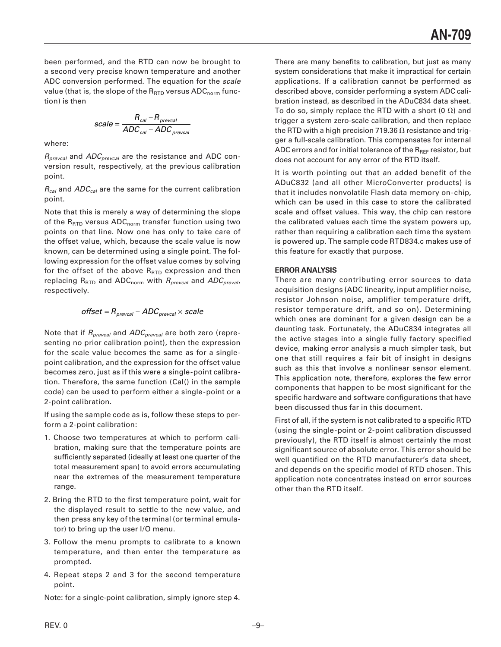been performed, and the RTD can now be brought to a second very precise known temperature and another ADC conversion performed. The equation for the scale value (that is, the slope of the  $R_{\text{RTD}}$  versus ADC<sub>norm</sub> function) is then

scale = 
$$
\frac{R_{cal} - R_{prevcal}}{ADC_{cal} - ADC_{prevcal}}
$$

where:

 $R_{\text{preval}}$  and  $ADC_{\text{preval}}$  are the resistance and ADC conversion result, respectively, at the previous calibration point.

 $R_{cal}$  and  $ADC_{cal}$  are the same for the current calibration point.

Note that this is merely a way of determining the slope of the  $R_{\text{RTD}}$  versus  $ADC_{\text{norm}}$  transfer function using two points on that line. Now one has only to take care of the offset value, which, because the scale value is now known, can be determined using a single point. The following expression for the offset value comes by solving for the offset of the above  $R_{\text{RTD}}$  expression and then replacing  $R_{\text{RTD}}$  and  $\text{ADC}_{\text{norm}}$  with  $R_{\text{preval}}$  and  $\text{ADC}_{\text{preval}}$ , respectively.

$$
offset = R_{prevcal} - ADC_{prevcal} \times scale
$$

Note that if  $R_{preval}$  and  $ADC_{preval}$  are both zero (representing no prior calibration point), then the expression for the scale value becomes the same as for a singlepoint calibration, and the expression for the offset value becomes zero, just as if this were a single-point calibration. Therefore, the same function (Cal() in the sample code) can be used to perform either a single-point or a 2-point calibration.

If using the sample code as is, follow these steps to perform a 2-point calibration:

- 1. Choose two temperatures at which to perform calibration, making sure that the temperature points are sufficiently separated (ideally at least one quarter of the total measurement span) to avoid errors accumulating near the extremes of the measurement temperature range.
- 2. Bring the RTD to the first temperature point, wait for the displayed result to settle to the new value, and then press any key of the terminal (or terminal emulator) to bring up the user I/O menu.
- 3. Follow the menu prompts to calibrate to a known temperature, and then enter the temperature as prompted.
- 4. Repeat steps 2 and 3 for the second temperature point.

Note: for a single-point calibration, simply ignore step 4.

There are many benefits to calibration, but just as many system considerations that make it impractical for certain applications. If a calibration cannot be performed as described above, consider performing a system ADC calibration instead, as described in the ADuC834 data sheet. To do so, simply replace the RTD with a short (0  $\Omega$ ) and trigger a system zero-scale calibration, and then replace the RTD with a high precision 719.36  $\Omega$  resistance and trigger a full-scale calibration. This compensates for internal ADC errors and for initial tolerance of the  $R_{BFF}$  resistor, but does not account for any error of the RTD itself.

It is worth pointing out that an added benefit of the ADuC832 (and all other MicroConverter products) is that it includes nonvolatile Flash data memory on-chip, which can be used in this case to store the calibrated scale and offset values. This way, the chip can restore the calibrated values each time the system powers up, rather than requiring a calibration each time the system is powered up. The sample code RTD834.c makes use of this feature for exactly that purpose.

# **ERROR ANALYSIS**

There are many contributing error sources to data acquisition designs (ADC linearity, input amplifier noise, resistor Johnson noise, amplifier temperature drift, resistor temperature drift, and so on). Determining which ones are dominant for a given design can be a daunting task. Fortunately, the ADuC834 integrates all the active stages into a single fully factory specified device, making error analysis a much simpler task, but one that still requires a fair bit of insight in designs such as this that involve a nonlinear sensor element. This application note, therefore, explores the few error components that happen to be most significant for the specific hardware and software configurations that have been discussed thus far in this document.

First of all, if the system is not calibrated to a specific RTD (using the single-point or 2-point calibration discussed previously), the RTD itself is almost certainly the most significant source of absolute error. This error should be well quantified on the RTD manufacturer's data sheet, and depends on the specific model of RTD chosen. This application note concentrates instead on error sources other than the RTD itself.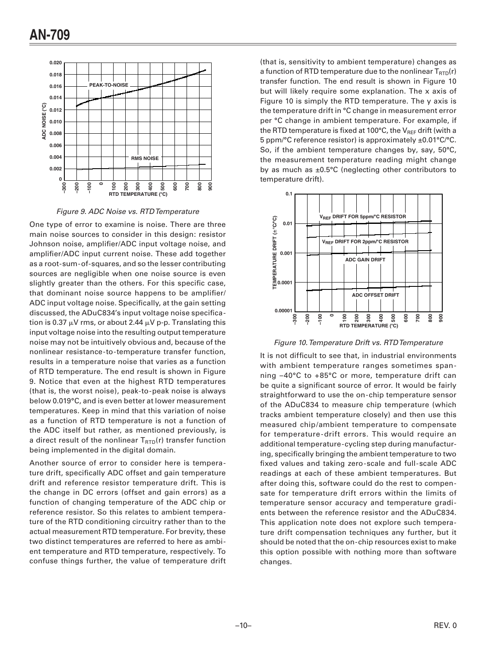

Figure 9. ADC Noise vs. RTD Temperature

One type of error to examine is noise. There are three main noise sources to consider in this design: resistor Johnson noise, amplifier/ADC input voltage noise, and amplifier/ADC input current noise. These add together as a root-sum-of-squares, and so the lesser contributing sources are negligible when one noise source is even slightly greater than the others. For this specific case, that dominant noise source happens to be amplifier/ ADC input voltage noise. Specifically, at the gain setting discussed, the ADuC834's input voltage noise specification is 0.37  $\mu$ V rms, or about 2.44  $\mu$ V p-p. Translating this input voltage noise into the resulting output temperature noise may not be intuitively obvious and, because of the nonlinear resistance-to-temperature transfer function, results in a temperature noise that varies as a function of RTD temperature. The end result is shown in Figure 9. Notice that even at the highest RTD temperatures (that is, the worst noise), peak-to-peak noise is always below 0.019°C, and is even better at lower measurement temperatures. Keep in mind that this variation of noise as a function of RTD temperature is not a function of the ADC itself but rather, as mentioned previously, is a direct result of the nonlinear  $T_{\text{RTD}}(r)$  transfer function being implemented in the digital domain.

Another source of error to consider here is temperature drift, specifically ADC offset and gain temperature drift and reference resistor temperature drift. This is the change in DC errors (offset and gain errors) as a function of changing temperature of the ADC chip or reference resistor. So this relates to ambient temperature of the RTD conditioning circuitry rather than to the actual measurement RTD temperature. For brevity, these two distinct temperatures are referred to here as ambient temperature and RTD temperature, respectively. To confuse things further, the value of temperature drift (that is, sensitivity to ambient temperature) changes as a function of RTD temperature due to the nonlinear T<sub>RTD</sub>(r) transfer function. The end result is shown in Figure 10 but will likely require some explanation. The x axis of Figure 10 is simply the RTD temperature. The y axis is the temperature drift in °C change in measurement error per °C change in ambient temperature. For example, if the RTD temperature is fixed at 100 $\degree$ C, the V<sub>REF</sub> drift (with a 5 ppm/°C reference resistor) is approximately ±0.01°C/°C. So, if the ambient temperature changes by, say,  $50^{\circ}$ C, the measurement temperature reading might change by as much as  $\pm 0.5^{\circ}$ C (neglecting other contributors to temperature drift).



Figure 10. Temperature Drift vs. RTD Temperature

It is not difficult to see that, in industrial environments with ambient temperature ranges sometimes spanning -40°C to +85°C or more, temperature drift can be quite a significant source of error. It would be fairly straightforward to use the on-chip temperature sensor of the ADuC834 to measure chip temperature (which tracks ambient temperature closely) and then use this measured chip/ambient temperature to compensate for temperature-drift errors. This would require an additional temperature-cycling step during manufacturing, specifically bringing the ambient temperature to two fixed values and taking zero-scale and full-scale ADC readings at each of these ambient temperatures. But after doing this, software could do the rest to compensate for temperature drift errors within the limits of temperature sensor accuracy and temperature gradients between the reference resistor and the ADuC834. This application note does not explore such temperature drift compensation techniques any further, but it should be noted that the on-chip resources exist to make this option possible with nothing more than software changes.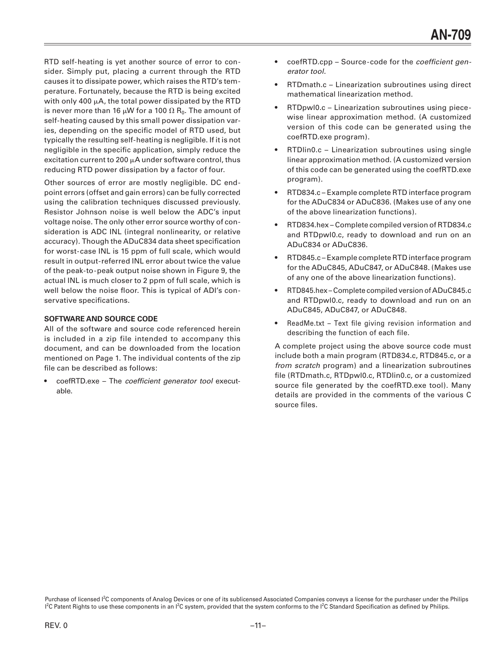RTD self-heating is yet another source of error to consider. Simply put, placing a current through the RTD causes it to dissipate power, which raises the RTD's temperature. Fortunately, because the RTD is being excited with only 400  $\mu$ A, the total power dissipated by the RTD is never more than 16  $\mu$ W for a 100  $\Omega$  R<sub>0</sub>. The amount of self-heating caused by this small power dissipation varies, depending on the specific model of RTD used, but typically the resulting self-heating is negligible. If it is not negligible in the specific application, simply reduce the excitation current to 200  $\mu$ A under software control, thus reducing RTD power dissipation by a factor of four.

Other sources of error are mostly negligible. DC endpoint errors (offset and gain errors) can be fully corrected using the calibration techniques discussed previously. Resistor Johnson noise is well below the ADC's input voltage noise. The only other error source worthy of consideration is ADC INL (integral nonlinearity, or relative accuracy). Though the ADuC834 data sheet specification for worst-case INL is 15 ppm of full scale, which would result in output-referred INL error about twice the value of the peak-to-peak output noise shown in Figure 9, the actual INL is much closer to 2 ppm of full scale, which is well below the noise floor. This is typical of ADI's conservative specifications.

## **SOFTWARE AND SOURCE CODE**

All of the software and source code referenced herein is included in a zip file intended to accompany this document, and can be downloaded from the location mentioned on Page 1. The individual contents of the zip file can be described as follows:

• coefRTD.exe – The coefficient generator tool executable.

- coefRTD.cpp Source-code for the coefficient generator tool.
- RTDmath.c Linearization subroutines using direct mathematical linearization method.
- RTDpwl0.c Linearization subroutines using piecewise linear approximation method. (A customized version of this code can be generated using the coefRTD.exe program).
- RTDlin0.c Linearization subroutines using single linear approximation method. (A customized version of this code can be generated using the coefRTD.exe program).
- RTD834.c Example complete RTD interface program for the ADuC834 or ADuC836. (Makes use of any one of the above linearization functions).
- RTD834.hex Complete compiled version of RTD834.c and RTDpwl0.c, ready to download and run on an ADuC834 or ADuC836.
- RTD845.c Example complete RTD interface program for the ADuC845, ADuC847, or ADuC848. (Makes use of any one of the above linearization functions).
- RTD845.hex Complete compiled version of ADuC845.c and RTDpwl0.c, ready to download and run on an ADuC845, ADuC847, or ADuC848.
- ReadMe.txt Text file giving revision information and describing the function of each file.

A complete project using the above source code must include both a main program (RTD834.c, RTD845.c, or a from scratch program) and a linearization subroutines file (RTDmath.c, RTDpwl0.c, RTDlin0.c, or a customized source file generated by the coefRTD.exe tool). Many details are provided in the comments of the various C source files.

Purchase of licensed <sup>12</sup>C components of Analog Devices or one of its sublicensed Associated Companies conveys a license for the purchaser under the Philips I<sup>2</sup>C Patent Rights to use these components in an I<sup>2</sup>C system, provided that the system conforms to the I<sup>2</sup>C Standard Specification as defined by Philips.